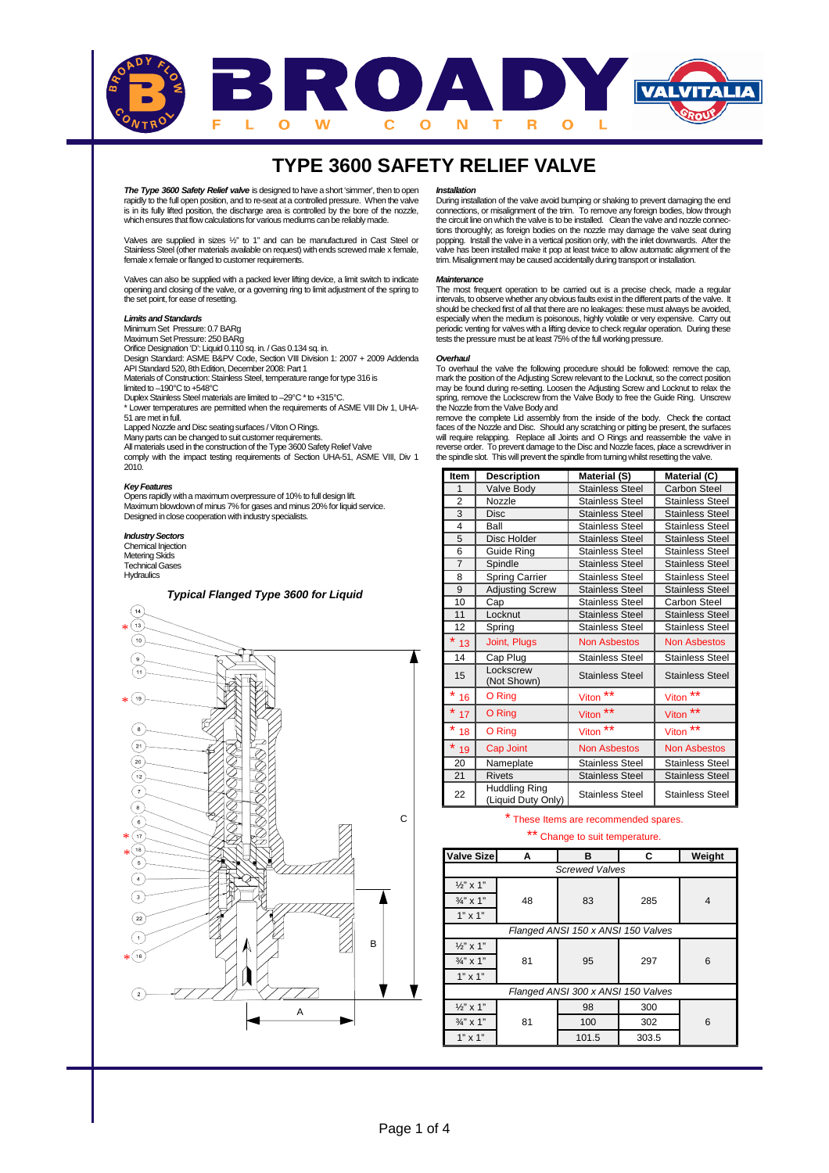

**The Type 3600 Safety Relief valve** is designed to have a short 'simmer', then to open rapidly to the full open position, and to re-seat at a controlled pressure. When the valve is in its fully lifted position, the discharge area is controlled by the bore of the nozzle, which ensures that flow calculations for various mediums can be reliably made.

Valves are supplied in sizes ½" to 1" and can be manufactured in Cast Steel or Stainless Steel (other materials available on request) with ends screwed male x female, female x female or flanged to customer requirements.

Valves can also be supplied with a packed lever lifting device, a limit switch to indicate opening and closing of the valve, or a governing ring to limit adjustment of the spring to the set point, for ease of resetting.

### **Limits andStandards**

Minimum Set Pressure: 0.7 BARg

Maximum SetPressure: 250BARg Orifice Designation 'D': Liquid 0.110 sq. in. / Gas 0.134 sq. in. Design Standard: ASME B&PV Code, Section VIII Division 1: 2007 + 2009 Addenda API Standard 520, 8th Edition, December 2008: Part 1 Materials of Construction: Stainless Steel, temperature range for type 316 is limited to –190°C to +548°C Duplex Stainless Steel materials are limited to –29°C \* to +315°C.<br>\* Lower temperatures are permitted when the requirements of ASME VIII Div 1, UHA-51 are met infull. **Lapped Nozzle and Disc seating surfaces / Viton O Rings.** 

Many parts can be changed to suit customer requirements.<br>All materials used in the construction of the Type 3600 Safety Relief Valve

comply with the impact testing requirements of Section UHA-51, ASME VIII, Div 1 2010.

### **KeyFeatures**

Opens rapidly witha maximum overpressure of 10% to full design lift. Maximum blowdown of minus 7% for gases and minus 20% for liquid service. Designed inclose cooperation with industry specialists.

### **Industry Sectors**

Chemical Injection Metering Skids Technical Gases





### **Installation**

During installation of the valve avoid bumping or shaking to prevent damaging the end connections, or misalignment of the trim. To remove any foreign bodies, blow through the circuit line on which the valve is to be installed. Clean the valve and nozzle connections thoroughly; as foreign bodies on the nozzle may damage the valve seat during popping. Install the valve in a vertical position only, with the inlet downwards. After the valve has been installed make it pop at least twice to allow automatic alignment of the trim. Misalignment may be caused accidentally during transport or installation.

### **Maintenance**

The most frequent operation to be carried out is a precise check, made a regular intervals, to observe whether any obvious faults exist in the different parts of the valve. It<br>should be checked first of all that there are no leakages: these must always be avoided,<br>especially when the medium is poisonou

### **Overhaul**

To overhaul the valve the following procedure should be followed: remove the cap, mark the position of the Adjusting Screw relevant to the Locknut, so the correct position may be found during re-setting. Loosen the Adjusting Screw and Locknut to relax the spring, remove the Lockscrew from the Valve Body to free the Guide Ring. Unscrew the Nozzle from theValveBody and

remove the complete Lid assembly from the inside of the body. Check the contact<br>faces of the Nozzle and Disc. Should any scratching or pitting be present, the surfaces<br>will require relapping. Replace all Joints and O Rin reverse order. To prevent damage to the Disc and Nozzle faces, place a screwdriver in the spindle slot. This will prevent the spindle from turning whilst resetting the valve.

| Item           | <b>Description</b>                         | Material (S)           | Material (C)           |
|----------------|--------------------------------------------|------------------------|------------------------|
| 1              | Valve Body                                 | <b>Stainless Steel</b> | <b>Carbon Steel</b>    |
| $\overline{2}$ | Nozzle                                     | <b>Stainless Steel</b> | <b>Stainless Steel</b> |
| 3              | <b>Disc</b>                                | <b>Stainless Steel</b> | <b>Stainless Steel</b> |
| 4              | Ball                                       | <b>Stainless Steel</b> | <b>Stainless Steel</b> |
| 5              | Disc Holder                                | <b>Stainless Steel</b> | <b>Stainless Steel</b> |
| 6              | Guide Ring                                 | <b>Stainless Steel</b> | <b>Stainless Steel</b> |
| $\overline{7}$ | Spindle                                    | <b>Stainless Steel</b> | <b>Stainless Steel</b> |
| 8              | <b>Spring Carrier</b>                      | <b>Stainless Steel</b> | <b>Stainless Steel</b> |
| 9              | <b>Adjusting Screw</b>                     | <b>Stainless Steel</b> | <b>Stainless Steel</b> |
| 10             | Cap                                        | <b>Stainless Steel</b> | Carbon Steel           |
| 11             | Locknut                                    | <b>Stainless Steel</b> | <b>Stainless Steel</b> |
| 12             | Spring                                     | <b>Stainless Steel</b> | <b>Stainless Steel</b> |
| $*_{13}$       | Joint, Plugs                               | <b>Non Asbestos</b>    | <b>Non Asbestos</b>    |
| 14             | Cap Plug                                   | <b>Stainless Steel</b> | <b>Stainless Steel</b> |
| 15             | Lockscrew<br>(Not Shown)                   | <b>Stainless Steel</b> | <b>Stainless Steel</b> |
| $*_{16}$       | O Ring                                     | $***$<br>Viton         | $***$<br>Viton         |
| *<br>17        | O Ring                                     | $***$<br><b>Viton</b>  | $***$<br>Viton         |
| *<br>18        | O Ring                                     | $***$<br><b>Viton</b>  | $***$<br>Viton         |
| *<br>19        | Cap Joint                                  | <b>Non Asbestos</b>    | <b>Non Asbestos</b>    |
| 20             | Nameplate                                  | <b>Stainless Steel</b> | <b>Stainless Steel</b> |
| 21             | <b>Rivets</b>                              | <b>Stainless Steel</b> | <b>Stainless Steel</b> |
| 22             | <b>Huddling Ring</b><br>(Liquid Duty Only) | <b>Stainless Steel</b> | Stainless Steel        |

## \* These Items are recommended spares.

## \*\* Change to suit temperature.

| <b>Valve Size</b>                  | Α  | в                     | C     | Weight |
|------------------------------------|----|-----------------------|-------|--------|
|                                    |    | <b>Screwed Valves</b> |       |        |
| $\frac{1}{2}$ " x 1"               |    |                       |       |        |
| $\frac{3}{4}$ " x 1"               | 48 | 83                    | 285   | 4      |
| $1" \times 1"$                     |    |                       |       |        |
| Flanged ANSI 150 x ANSI 150 Valves |    |                       |       |        |
| $\frac{1}{2}$ " x 1"               |    |                       |       |        |
| $\frac{3}{4}$ " x 1"               | 81 | 95                    | 297   | 6      |
| $1" \times 1"$                     |    |                       |       |        |
| Flanged ANSI 300 x ANSI 150 Valves |    |                       |       |        |
| $\frac{1}{2}$ " x 1"               |    | 98                    | 300   |        |
| $\frac{3}{4}$ " x 1"               | 81 | 100                   | 302   | 6      |
| $1" \times 1"$                     |    | 101.5                 | 303.5 |        |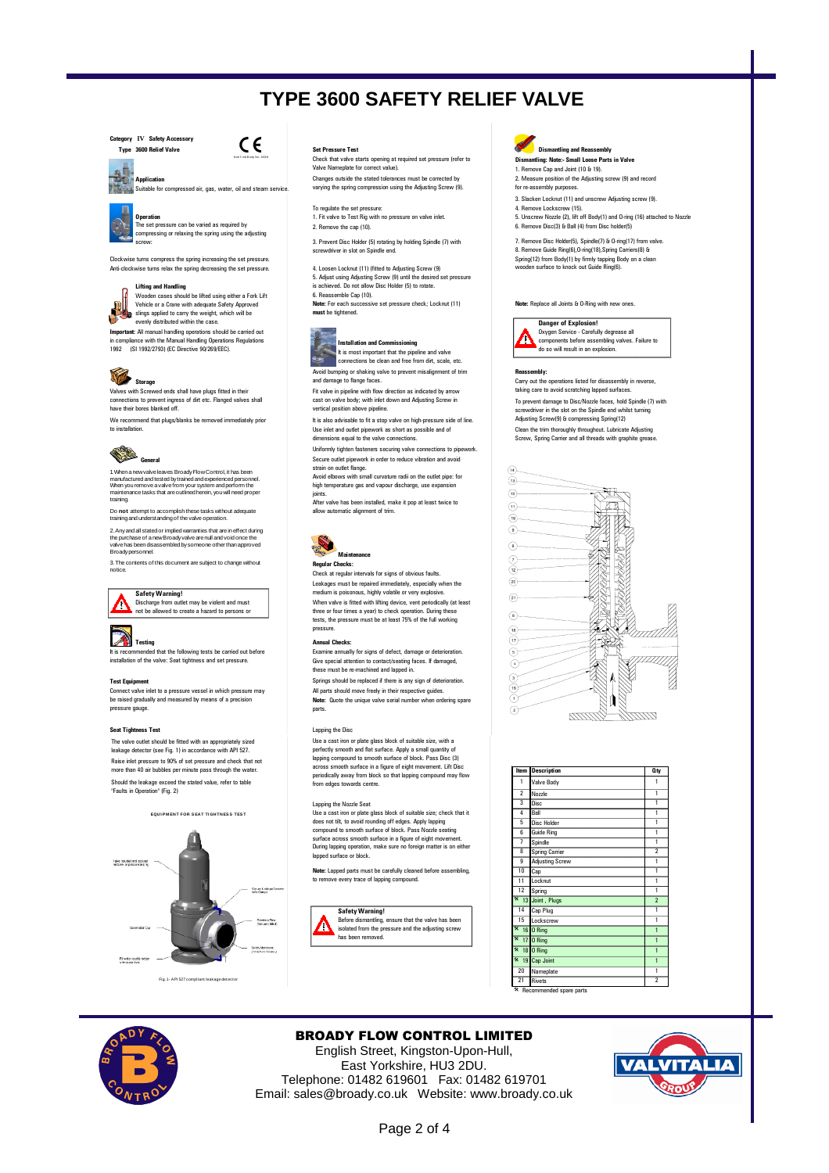**Category IV Safety Accessory**



л **Application** 地震 . . .<br>Suitable for compressed air, gas, water, oil and steam servic



Operation<br>The set pressure can be varied as required by compressing or relaxing the spring using the adjusting screw:

Clockwise turns compress the spring increasing the set pressure. Anti-clockwise turns relax the spring decreasing the set pressure. 4. Loosen Locknut (11) (fitted to Adjusting Screw (9)

**Lifting and Handling**<br>Wooden cases should be lifted using either a Fork Lift<br>Vehicle or a Crane with adequate Safety Approved<br>slings applied to carry the weight, which will be<br>evenly distributed within the case.

**Important:** All manual handling operations should be carried out in compliance with the Manual Handling Operations Regulations 1992 (SI 1992/2793) (EC Directive 90/269/EEC).



**Storage**<br>Valves with Screwed ends shall have plugs fitted in their connections to prevent ingress of dirt etc. Flanged valves shall have their bores blanked off.

We recommend that plugs/blanks be removed immediately prior to installation.



1 When a newvalve leaves Broady Flow Control, it has been<br>manufactured and tested by trained and experienced personnel.<br>When you remove a valve from your system and perform the<br>maintenance tasks that are outlined herein, y

Do **not** attempt to accomplish these tasks without adequate trainingand understandingof thevalve operation.

2.Anyandall statedor impliedwarranties that arein effect during the purchase of a newBroadyvalvearenull and void once the valvehas been disassembled bysomeone other thanapproved Broadypersonnel.

3. The contents of this document are subject to change without notice.



**Safety Warning!** Discharge from outlet may be violent and must not be allowed to create a hazard to persons or

# **Testing Annual Checks:**

It is recommended that the following tests be carried out before installation of the valve: Seat tightness and set pressure.

Connect valve inlet to a pressure vessel in which pressure may be raised gradually and measured by means of a precision pressure gauge.

### **Seat Tightness Test Lapping the Disc**

Should the leakage exceed the stated value, refer to table "Faults in Operation" (Fig. 2) The valve outlet should be fitted with an appropriately sized leakage detector (see Fig. 1) in accordance with API 527. Raise inlet pressure to 90% of set pressure and check that not more than 40 air bubbles per minute pass through the water.



Check that valve starts opening at required set pressure (refer to Valve Nameplate for correct value). Changes outside the stated tolerances must be corrected by varying the spring compression using the Adjusting Screw (9).

To regulate the set pressure: Operation to Test Rights and Test Rights and Test Rights and Test Rights and O-ring (16), and Test Rights and O<br>1. Fit valve to Test Rig with no pressure on valve inlet. [Unscrew Nozzle (2), lift off Body(1) and O-ring (1

3. Prevent Disc Holder (5) rotating by holding Spindle (7) with screwdriver in slot on Spindle end.

5. Adjust using Adjusting Screw (9) until the desired set pressure is achieved. Do not allow Disc Holder (5) to rotate.

6. Reassemble Cap (10). **Note:** For each successive set pressure check; Locknut (11)

**must** be tightened.



定 **Installation and Commissioning**<br>It is most important that the pipeline and valve<br>connections be clean and free from dirt, scale, etc. Avoid bumping or shaking valve to prevent misalignment of trim and damage to flange faces.

Fit valve in pipeline with flow direction as indicated by arrow cast on valve body; with inlet down and Adjusting Screw in

It is also advisable to fit a stop valve on high-pressure side of line. vertical position above pipeline.

Uniformly tighten fasteners securing valve connections to pipework. Use inlet and outlet pipework as short as possible and of dimensions equal to the valve connections.

Secure outlet pipework in order to reduce vibration and avoid strain on outlet flange.

Avoid elbows with small curvature radii on the outlet pipe: for high temperature gas and vapour discharge, use expan

joints. After valve has been installed, make it pop at least twice to allow automatic alignment of trim.



**Regular Checks:**  Check at regular intervals for signs of obvious faults.

When valve is fitted with lifting device, vent periodically (at least three or four times a year) to check operation. During these tests, the pressure must be at least 75% of the full working pressure. Leakages must be repaired immediately, especially when the medium is poisonous, highly volatile or very explosive.

Examine annually for signs of defect, damage or deterioration. Give special attention to contact/seating faces. If damaged, these must be re-machined and lapped in.

**Test Equipment** Springs should be replaced if there is any sign of deterioration. All parts should move freely in their respective guides. **Note:** Quote the unique valve serial number when ordering spare

parts.

Use a cast iron or plate glass block of suitable size, with a perfectly smooth and flat surface. Apply a small quantity of lapping compound to smooth surface of block. Pass Disc (3) across smooth surface in a figure of eight movement. Lift Disc periodically away from block so that lapping compound may flow from edges towards centre.

Lapping the Nozzle Seat<br>Use a cast iron or plate glass block of suitable size; check that it and a compound to smooth surface of block. Pass Nozzle seating  $\frac{5 \text{ Os} \times \text{Os} \times \text{Os}}{2 \text{Os} \times \text{Os}}$ surface across smooth surface in a figure of eight movement. During lapping operation, make sure no foreign matter is on either lapped surface or block.

**Note:** Lapped parts must be carefully cleaned before assembling, to remove every trace of lapping compound.





**Dismantling: Note:- Small Loose Parts in Valve** 1. Remove Cap and Joint (10 & 19).

2. Measure position of the Adjusting screw (9) and record for re-assembly purposes.

- 3. Slacken Locknut (11) and unscrew Adjusting screw (9).
- 
- 2.  $R$  and  $R$  and  $R$  and  $R$  and  $R$  and  $R$  and  $R$  from Disc holder(5).

7. Remove Disc Holder(5), Spindle(7) & O-ring(17) from valve. 8. Remove Guide Ring(6),O-ring(18),Spring Carriers(8) & Spring(12) from Body(1) by firmly tapping Body on a clean wooden surface to knock out Guide Ring(6).

**Note:** Replace all Joints & O-Ring with new ones.



**Reassembly:**  do so will result in an explosion.

Clean the trim thoroughly throughout. Lubricate Adjusting Screw, Spring Carrier and all threads with graphite grease. To prevent damage to Disc/Nozzle faces, hold Spindle (7) with screwdriver in the slot on the Spindle end whilst turning Adjusting Screw(9) & compressing Spring(12) Carry out the operations listed for disassembly in reverse, taking care to avoid scratching lapped surfaces.





Recommended spare parts



## BROADY FLOW CONTROL LIMITED

English Street, Kingston-Upon-Hull, East Yorkshire, HU3 2DU. Telephone: 01482 619601 Fax: 01482 619701 Email: sales@broady.co.uk Website: www.broady.co.uk

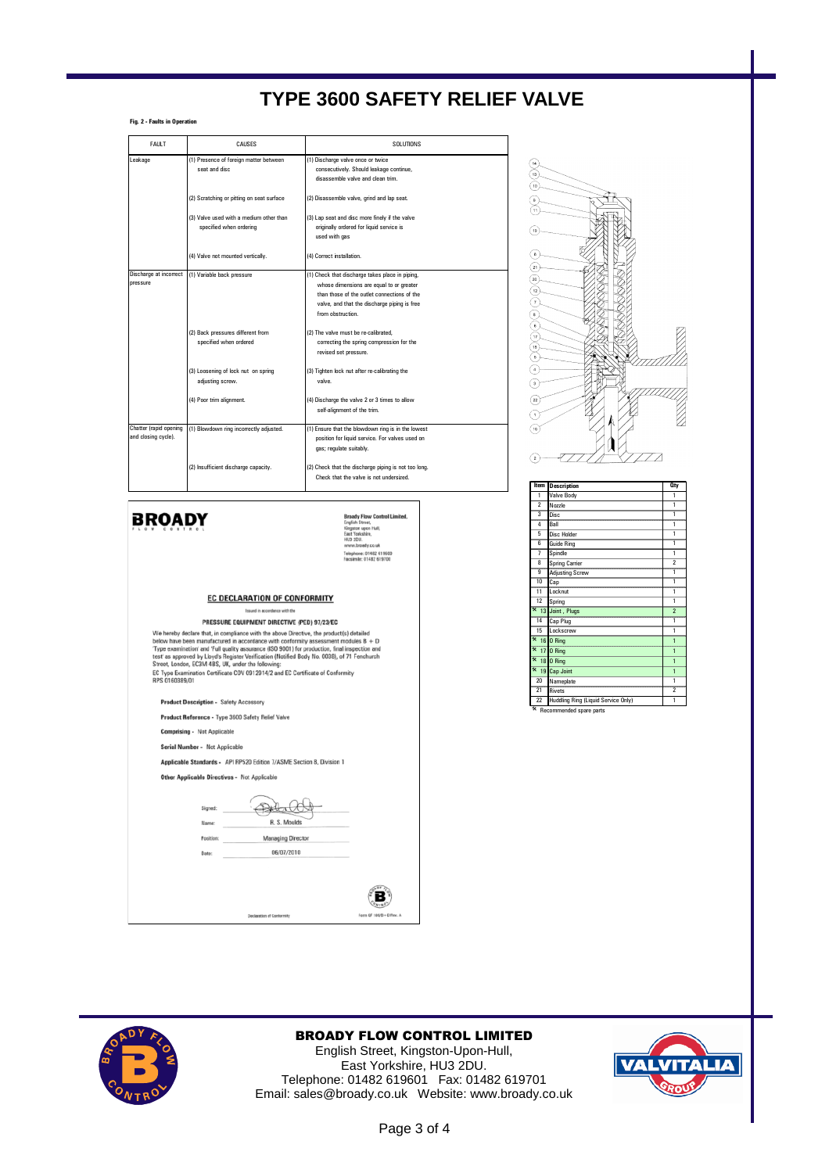**Fig. 2 - Faults in Operation**

| <b>FAULT</b>                                  | CAUSES                                                             | <b>SOLUTIONS</b>                                                                                                                                                                                                |
|-----------------------------------------------|--------------------------------------------------------------------|-----------------------------------------------------------------------------------------------------------------------------------------------------------------------------------------------------------------|
| Leakage                                       | (1) Presence of foreign matter between<br>seat and disc            | (1) Discharge valve once or twice<br>consecutively. Should leakage continue,<br>disassemble valve and clean trim.                                                                                               |
|                                               | (2) Scratching or pitting on seat surface                          | (2) Disassemble valve, grind and lap seat.                                                                                                                                                                      |
|                                               | (3) Valve used with a medium other than<br>specified when ordering | (3) Lap seat and disc more finely if the valve<br>originally ordered for liquid service is<br>used with gas                                                                                                     |
|                                               | (4) Valve not mounted vertically.                                  | (4) Correct installation.                                                                                                                                                                                       |
| Discharge at incorrect<br>pressure            | (1) Variable back pressure                                         | (1) Check that discharge takes place in piping,<br>whose dimensions are equal to or greater<br>than those of the outlet connections of the<br>valve, and that the discharge piping is free<br>from obstruction. |
|                                               | (2) Back pressures different from<br>specified when ordered        | (2) The valve must be re-calibrated.<br>correcting the spring compression for the<br>revised set pressure.                                                                                                      |
|                                               | (3) Loosening of lock nut on spring<br>adjusting screw.            | (3) Tighten lock nut after re-calibrating the<br>valve.                                                                                                                                                         |
|                                               | (4) Poor trim alignment.                                           | (4) Discharge the valve 2 or 3 times to allow<br>self-alignment of the trim.                                                                                                                                    |
| Chatter (rapid opening<br>and closing cycle). | (1) Blowdown ring incorrectly adjusted.                            | (1) Ensure that the blowdown ring is in the lowest<br>position for liquid service. For valves used on<br>gas; regulate suitably.                                                                                |
|                                               | (2) Insufficient discharge capacity.                               | (2) Check that the discharge piping is not too long.<br>Check that the valve is not undersized.                                                                                                                 |



| <b>Broady Flow Control Limited.</b> |  |
|-------------------------------------|--|
| English Street.                     |  |
| Kingston upon Hull,                 |  |
| East Yorkshire.                     |  |
| <b>HU3 2DU.</b>                     |  |
| www.broady.co.uk                    |  |
| Telephone: 01482 619600             |  |
| Facsimile: 01482 619700             |  |

**EC DECLARATION OF CONFORMITY** 

PRESSURE EQUIPMENT DIRECTIVE (PED) 97/23/EC **CONSERVANCE CONSERVATION**<br>
We hereby declare that, in compliance with the above Directive, the product(s) detailed<br>
below have been manufactured in accordance with conformity assessment modules  $B + D$ <br>
Type examination' a

**Product Description - Safety Accessory** 

Product Reference - Type 3600 Safety Relief Valve

**Comprising - Not Applicable** 

erial Number - Not Applicable Applicable Standards - API RP520 Edition 7/ASME Section 8, Division 1

Other Applicable Directives - Not Applicable

Polacción Signed: R. S. Moulds Name: Position Managing Director 06/07/2010 Date:



| Item                    | <b>Description</b>                  | <b>Qty</b>              |
|-------------------------|-------------------------------------|-------------------------|
| 1                       | Valve Body                          |                         |
| $\overline{2}$          | Nozzle                              |                         |
|                         | Disc                                |                         |
| 4                       | Rall                                |                         |
| 5                       | <b>Disc Holder</b>                  |                         |
| 6                       | <b>Guide Ring</b>                   |                         |
| 7                       | Spindle                             | 1                       |
| $\overline{\mathbf{g}}$ | Spring Carrier                      | $\overline{2}$          |
| $\overline{9}$          | <b>Adjusting Screw</b>              | 1                       |
| $\overline{10}$         | Cap                                 | 1                       |
| 11                      | Locknut                             | 1                       |
| $\overline{12}$         | Spring                              | 1                       |
|                         | * 13 Joint, Plugs                   | $\overline{\mathbf{z}}$ |
| $\overline{14}$         | Cap Plug                            | 1                       |
| $\overline{15}$         | Lockscrew                           | 1                       |
|                         | $\overline{\ast}$ 16 0 Ring         | ٢                       |
| $\overline{\mathbf{x}}$ | <b>17 0 Ring</b>                    | 1                       |
| $\overline{\mathbf{x}}$ | <b>18 0 Ring</b>                    | 1                       |
|                         | * 19 Cap Joint                      |                         |
| 20                      | Nameplate                           | 1                       |
| $\overline{21}$         | Rivets                              | $\overline{2}$          |
| 22                      | Huddling Ring (Liquid Service Only) | 1                       |

\* Recommended spare parts



## BROADY FLOW CONTROL LIMITED

 $\left(\mathbf{B}\right)$ 

English Street, Kingston-Upon-Hull, East Yorkshire, HU3 2DU. Telephone: 01482 619601 Fax: 01482 619701 Email: sales@broady.co.uk Website: www.broady.co.uk